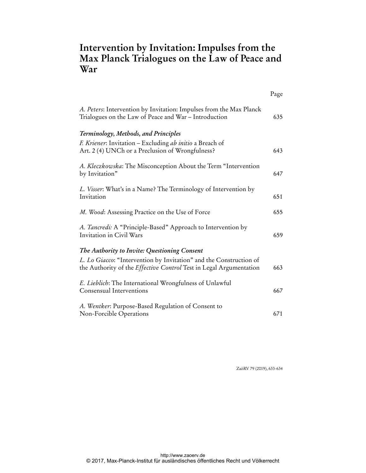## **Intervention by Invitation: Impulses from the Max Planck Trialogues on the Law of Peace and War**

|                                                                                                                                                 | Page |
|-------------------------------------------------------------------------------------------------------------------------------------------------|------|
| A. Peters: Intervention by Invitation: Impulses from the Max Planck<br>Trialogues on the Law of Peace and War - Introduction                    | 635  |
| Terminology, Methods, and Principles                                                                                                            |      |
| F. Kriener: Invitation – Excluding ab initio a Breach of<br>Art. 2 (4) UNCh or a Preclusion of Wrongfulness?                                    | 643  |
| A. Kleczkowska: The Misconception About the Term "Intervention<br>by Invitation"                                                                | 647  |
| L. Visser: What's in a Name? The Terminology of Intervention by<br>Invitation                                                                   | 651  |
| M. Wood: Assessing Practice on the Use of Force                                                                                                 | 655  |
| A. Tancredi: A "Principle-Based" Approach to Intervention by<br>Invitation in Civil Wars                                                        | 659  |
| The Authority to Invite: Questioning Consent                                                                                                    |      |
| L. Lo Giacco: "Intervention by Invitation" and the Construction of<br>the Authority of the <i>Effective Control</i> Test in Legal Argumentation | 663  |
| E. Lieblich: The International Wrongfulness of Unlawful<br>Consensual Interventions                                                             | 667  |
| A. Wentker: Purpose-Based Regulation of Consent to<br>Non-Forcible Operations                                                                   | 671  |

ZaöRV 79 (2019), 633-634